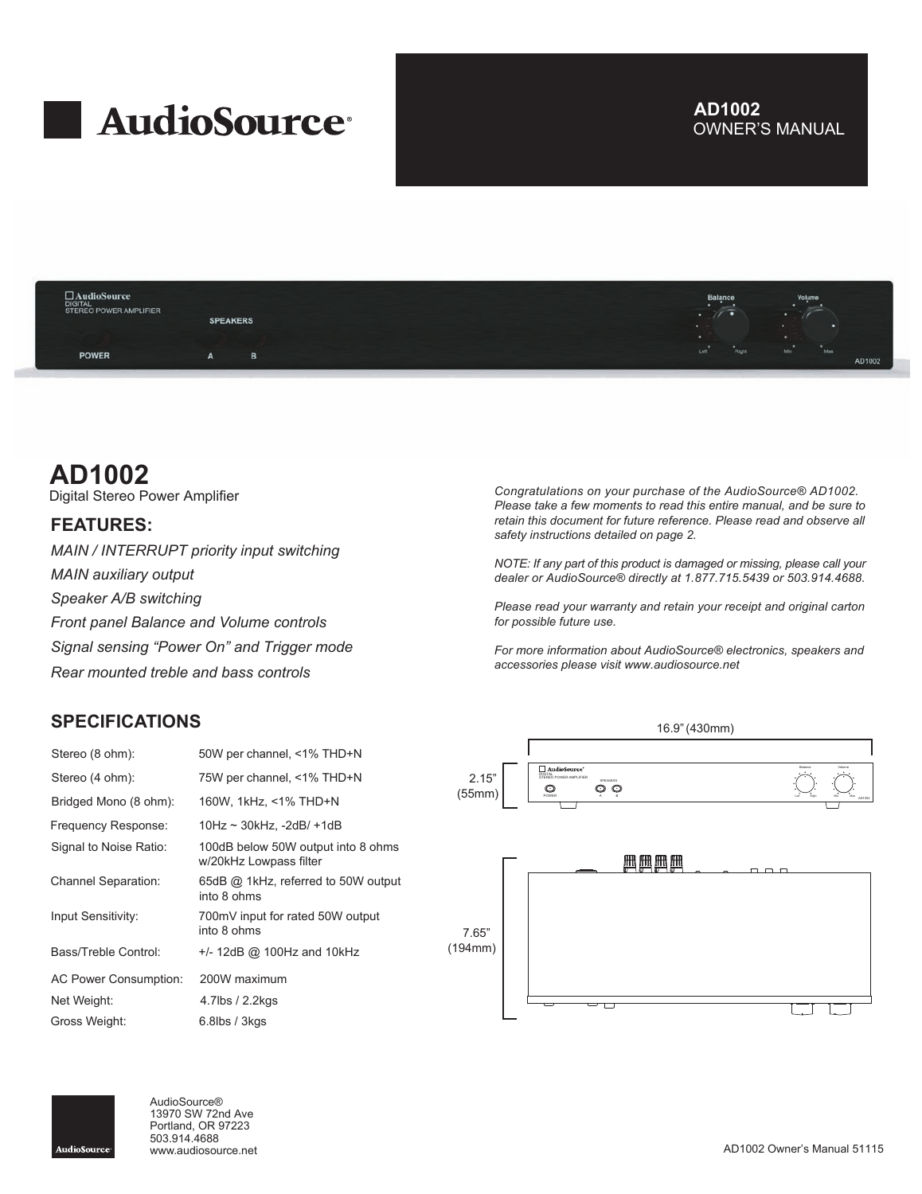# **AudioSource**

# OWNER'S MANUAL **AD1002**



# **AD1002**

Digital Stereo Power Amplifier

### **FEATURES:**

*MAIN / INTERRUPT priority input switching MAIN auxiliary output Speaker A/B switching Front panel Balance and Volume controls Signal sensing "Power On" and Trigger mode Rear mounted treble and bass controls*

# **SPECIFICATIONS**

| Stereo (8 ohm):              | 50W per channel, <1% THD+N                                   |
|------------------------------|--------------------------------------------------------------|
| Stereo (4 ohm):              | 75W per channel, <1% THD+N                                   |
| Bridged Mono (8 ohm):        | 160W, 1kHz, <1% THD+N                                        |
| Frequency Response:          | 10Hz ~ 30kHz, -2dB/ +1dB                                     |
| Signal to Noise Ratio:       | 100dB below 50W output into 8 ohms<br>w/20kHz Lowpass filter |
| <b>Channel Separation:</b>   | 65dB @ 1kHz, referred to 50W output<br>into 8 ohms           |
| Input Sensitivity:           | 700mV input for rated 50W output<br>into 8 ohms              |
| Bass/Treble Control:         | +/- 12dB @ 100Hz and 10kHz                                   |
| <b>AC Power Consumption:</b> | 200W maximum                                                 |
| Net Weight:                  | 4.7lbs / 2.2kgs                                              |
| Gross Weight:                | 6.8lbs / 3kgs                                                |

*Congratulations on your purchase of the AudioSource® AD1002. Please take a few moments to read this entire manual, and be sure to retain this document for future reference. Please read and observe all safety instructions detailed on page 2.*

*NOTE: If any part of this product is damaged or missing, please call your dealer or AudioSource® directly at 1.877.715.5439 or 503.914.4688.*

*Please read your warranty and retain your receipt and original carton for possible future use.*

*For more information about AudioSource® electronics, speakers and accessories please visit www.audiosource.net*





AudioSource® 13970 SW 72nd Ave Portland, OR 97223 503.914.4688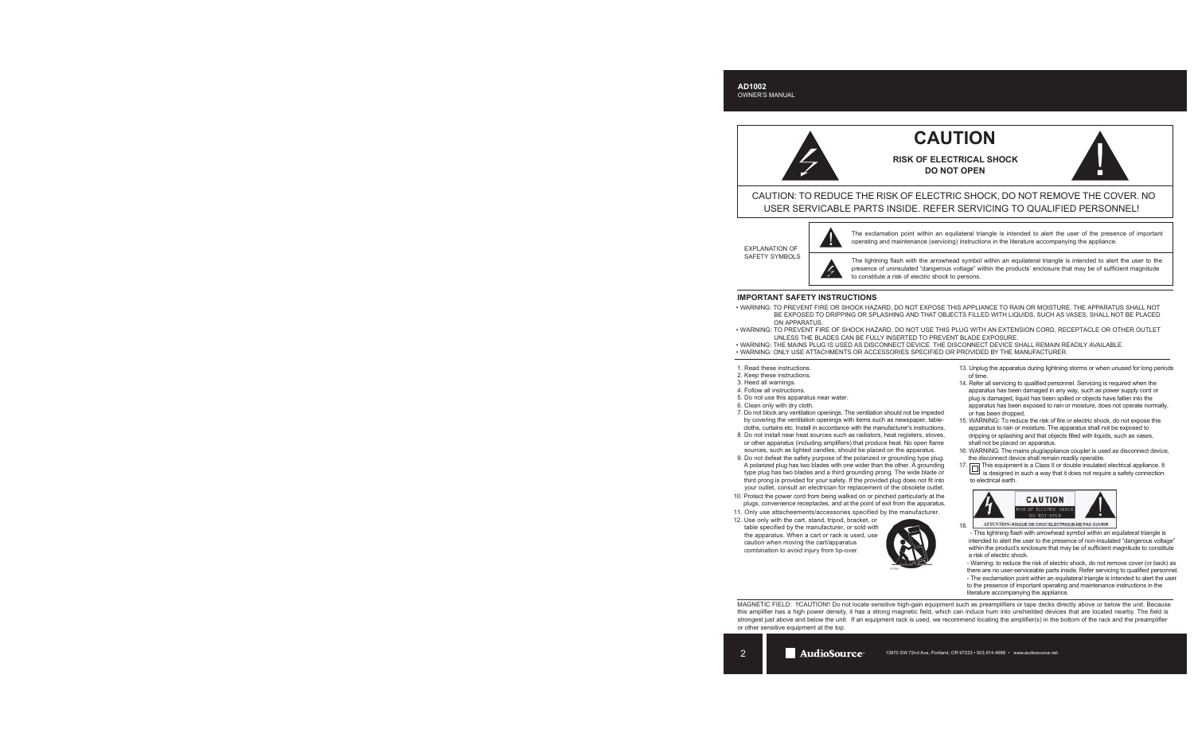# **CAUTION**

**RISK OF ELECTRICAL SHOCK DO NOT OPEN**



CAUTION: TO REDUCE THE RISK OF ELECTRIC SHOCK, DO NOT REMOVE THE COVER. NO USER SERVICABLE PARTS INSIDE. REFER SERVICING TO QUALIFIED PERSONNEL!

EXPLANATION OF SAFETY SYMBOLS



The exclamation point within an equilateral triangle is intended to alert the user of the presence of important operating and maintenance (servicing) instructions in the literature accompanying the appliance.

The lightning flash with the arrowhead symbol within an equilateral triangle is intended to alert the user to the presence of uninsulated "dangerous voltage" within the products' enclosure that may be of sufficient magnitude to constitute a risk of electric shock to persons.

#### **IMPORTANT SAFETY INSTRUCTIONS**

- WARNING: TO PREVENT FIRE OR SHOCK HAZARD, DO NOT EXPOSE THIS APPLIANCE TO RAIN OR MOISTURE. THE APPARATUS SHALL NOT BE EXPOSED TO DRIPPING OR SPLASHING AND THAT OBJECTS FILLED WITH LIQUIDS, SUCH AS VASES, SHALL NOT BE PLACED ON APPARATUS.
- WARNING: TO PREVENT FIRE OF SHOCK HAZARD, DO NOT USE THIS PLUG WITH AN EXTENSION CORD, RECEPTACLE OR OTHER OUTLET UNLESS THE BLADES CAN BE FULLY INSERTED TO PREVENT BLADE EXPOSURE.
- WARNING: THE MAINS PLUG IS USED AS DISCONNECT DEVICE. THE DISCONNECT DEVICE SHALL REMAIN READILY AVAILABLE.
- WARNING: ONLY USE ATTACHMENTS OR ACCESSORIES SPECIFIED OR PROVIDED BY THE MANUFACTURER.
- 1. Read these instructions.
- 2. Keep these instructions.
- 3. Heed all warnings.
- 4. Follow all instructions.
- 5. Do not use this apparatus near water.
- 6. Clean only with dry cloth.
- 7. Do not block any ventilation openings. The ventilation should not be impeded by covering the ventilation openings with items such as newspaper, table cloths, curtains etc. Install in accordance with the manufacturer's instructions.
- 8. Do not install near heat sources such as radiators, heat registers, stoves, or other apparatus (including amplifiers) that produce heat. No open flame sources, such as lighted candles, should be placed on the apparatus.
- 9. Do not defeat the safety purpose of the polarized or grounding type plug. A polarized plug has two blades with one wider than the other. A grounding type plug has two blades and a third grounding prong. The wide blade or third prong is provided for your safety. If the provided plug does not fit into your outlet, consult an electrician for replacement of the obsolete outlet.
- 10. Protect the power cord from being walked on or pinched particularly at the plugs, convenience receptacles, and at the point of exit from the apparatus.
- 11. Only use attacheements/accessories specified by the manufacturer.
- 12. Use only with the cart, stand, tripod, bracket, or table specified by the manufacturer, or sold with the apparatus. When a cart or rack is used, use caution when moving the cart/apparatus combination to avoid injury from tip-over.



- 13. Unplug the apparatus during lightning storms or when unused for long periods of time.
- 14. Refer all servicing to qualified personnel. Servicing is required when the apparatus has been damaged in any way, such as power supply cord or plug is damaged, liquid has been spilled or objects have fallen into the apparatus has been exposed to rain or moisture, does not operate normally, or has been dropped.
- 15. WARNING: To reduce the risk of fire or electric shock, do not expose this apparatus to rain or moisture. The apparatus shall not be exposed to dripping or splashing and that objects filled with liquids, such as vases, shall not be placed on apparatus.
- 16. WARNING: The mains plug/appliance coupler is used as disconnect device, the disconnect device shall remain readily operable.
- 17. This equipment is a Class II or double insulated electrical appliance. It is designed in such a way that it does not require a safety connection to electrical earth.



ATTENTION: RISQUE DE CHOC ELECTRIQUE-NE PAS OUVRIR 18.

 - This lightning flash with arrowhead symbol within an equilateral triangle is intended to alert the user to the presence of non-insulated "dangerous voltage" within the product's enclosure that may be of sufficient magnitude to constitute a risk of electric shock.

 - Warning: to reduce the risk of electric shock, do not remove cover (or back) as there are no user-serviceable parts inside. Refer servicing to qualified personnel. - The exclamation point within an equilateral triangle is intended to alert the user

 to the presence of important operating and maintenance instructions in the literature accompanying the appliance.

MAGNETIC FIELD: !!CAUTION!! Do not locate sensitive high-gain equipment such as preamplifiers or tape decks directly above or below the unit. Because this amplifier has a high power density, it has a strong magnetic field, which can induce hum into unshielded devices that are located nearby. The field is strongest just above and below the unit. If an equipment rack is used, we recommend locating the amplifier(s) in the bottom of the rack and the preamplifier or other sensitive equipment at the top.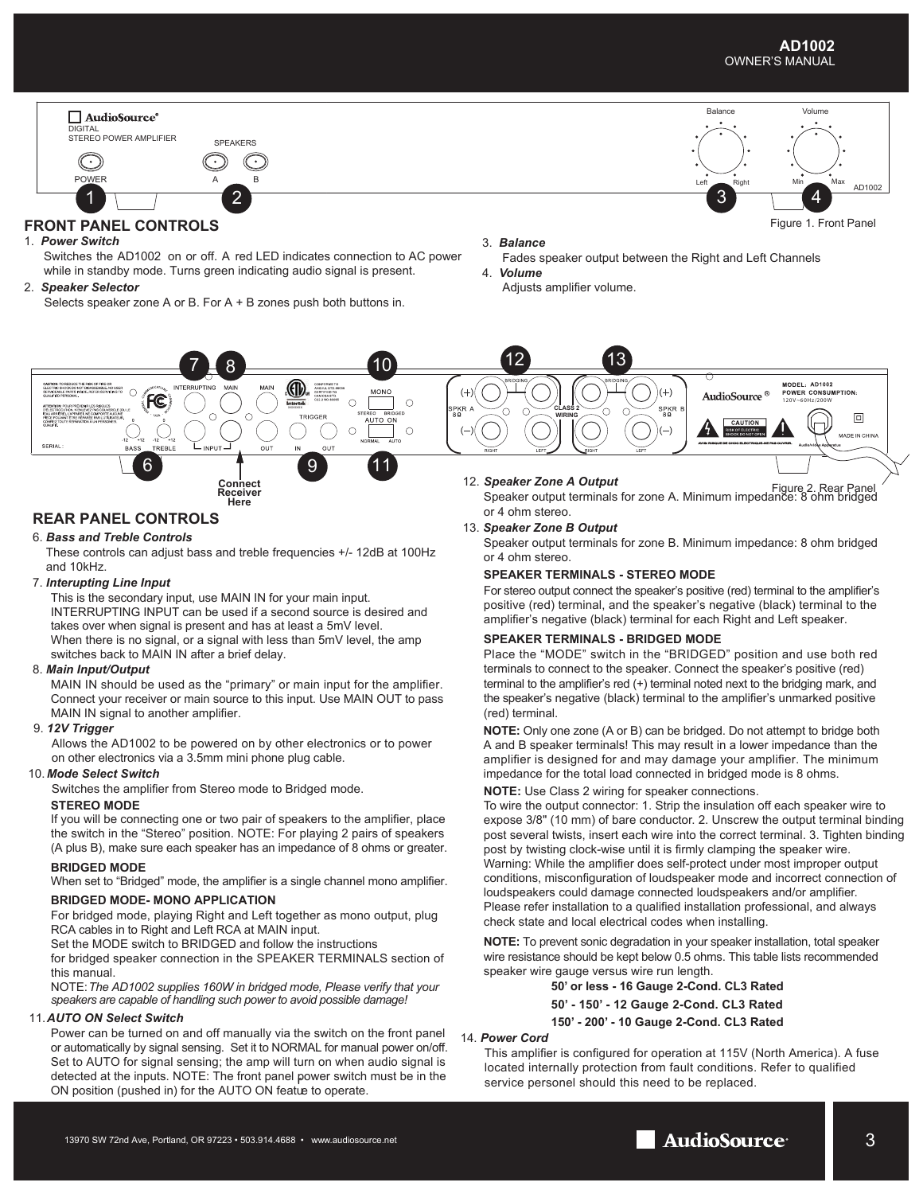#### **AD1002** OWNER'S MANUAL



#### **FRONT PANEL CONTROLS**

#### 1. *Power Switch*

 Switches the AD1002 on or off. A red LED indicates connection to AC power while in standby mode. Turns green indicating audio signal is present.

2. *Speaker Selector*

Selects speaker zone A or B. For A + B zones push both buttons in.

#### 3. *Balance*

- Fades speaker output between the Right and Left Channels 4. *Volume*
- Adjusts amplifier volume.



Connect Commet<br>Receiver Connect Terminals for zone A. Minimum impedance: 8 ohm bridged<br>Here **Connect A. Minimum impedance: 8 ohm bridged** or 4 ohm stereo.

#### 13. *Speaker Zone B Output*

Speaker output terminals for zone B. Minimum impedance: 8 ohm bridged or 4 ohm stereo.

#### **SPEAKER TERMINALS - STEREO MODE**

For stereo output connect the speaker's positive (red) terminal to the amplifier's positive (red) terminal, and the speaker's negative (black) terminal to the amplifier's negative (black) terminal for each Right and Left speaker.

#### **SPEAKER TERMINALS - BRIDGED MODE**

Place the "MODE" switch in the "BRIDGED" position and use both red terminals to connect to the speaker. Connect the speaker's positive (red) terminal to the amplifier's red (+) terminal noted next to the bridging mark, and the speaker's negative (black) terminal to the amplifier's unmarked positive (red) terminal.

**NOTE:** Only one zone (A or B) can be bridged. Do not attempt to bridge both A and B speaker terminals! This may result in a lower impedance than the amplifier is designed for and may damage your amplifier. The minimum impedance for the total load connected in bridged mode is 8 ohms.

#### **NOTE:** Use Class 2 wiring for speaker connections.

To wire the output connector: 1. Strip the insulation off each speaker wire to expose 3/8" (10 mm) of bare conductor. 2. Unscrew the output terminal binding post several twists, insert each wire into the correct terminal. 3. Tighten binding post by twisting clock-wise until it is firmly clamping the speaker wire. Warning: While the amplifier does self-protect under most improper output conditions, misconfiguration of loudspeaker mode and incorrect connection of loudspeakers could damage connected loudspeakers and/or amplifier. Please refer installation to a qualified installation professional, and always check state and local electrical codes when installing.

**NOTE:** To prevent sonic degradation in your speaker installation, total speaker wire resistance should be kept below 0.5 ohms. This table lists recommended speaker wire gauge versus wire run length.

#### **50' or less - 16 Gauge 2-Cond. CL3 Rated**

**50' - 150' - 12 Gauge 2-Cond. CL3 Rated 150' - 200' - 10 Gauge 2-Cond. CL3 Rated**

#### 14.  *Power Cord*

This amplifier is configured for operation at 115V (North America). A fuse located internally protection from fault conditions. Refer to qualified service personel should this need to be replaced.

#### **REAR PANEL CONTROLS**

#### 6. *Bass and Treble Controls*

These controls can adjust bass and treble frequencies +/- 12dB at 100Hz and 10kHz.

**Receiver Here**

#### 7. *Interupting Line Input*

This is the secondary input, use MAIN IN for your main input. INTERRUPTING INPUT can be used if a second source is desired and takes over when signal is present and has at least a 5mV level. When there is no signal, or a signal with less than 5mV level, the amp switches back to MAIN IN after a brief delay.

#### 8.  *Main Input/Output*

MAIN IN should be used as the "primary" or main input for the amplifier. Connect your receiver or main source to this input. Use MAIN OUT to pass MAIN IN signal to another amplifier.

#### 9. *12V Trigger*

Allows the AD1002 to be powered on by other electronics or to power on other electronics via a 3.5mm mini phone plug cable.

#### 10. *Mode Select Switch*

Switches the amplifier from Stereo mode to Bridged mode.

#### **STEREO MODE**

If you will be connecting one or two pair of speakers to the amplifier, place the switch in the "Stereo" position. NOTE: For playing 2 pairs of speakers (A plus B), make sure each speaker has an impedance of 8 ohms or greater.

#### **BRIDGED MODE**

When set to "Bridged" mode, the amplifier is a single channel mono amplifier.

#### **BRIDGED MODE- MONO APPLICATION**

For bridged mode, playing Right and Left together as mono output, plug RCA cables in to Right and Left RCA at MAIN input.

Set the MODE switch to BRIDGED and follow the instructions

for bridged speaker connection in the SPEAKER TERMINALS section of this manual.

NOTE:*The AD1002 supplies 160W in bridged mode, Please verify that your speakers are capable of handling such power to avoid possible damage!*

#### 11. *AUTO ON Select Switch*

Power can be turned on and off manually via the switch on the front panel or automatically by signal sensing. Set it to NORMAL for manual power on/off. Set to AUTO for signal sensing; the amp will turn on when audio signal is detected at the inputs. NOTE: The front panel power switch must be in the delected at the inputs. NOTE. The flont panel power switch i<br>ON position (pushed in) for the AUTO ON featue to operate.